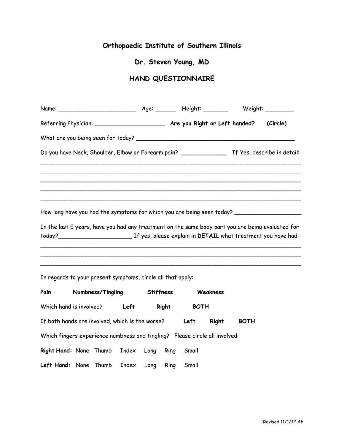# **Orthopaedic Institute of Southern Illinois**

### **Dr. Steven Young, MD**

# **HAND QUESTIONNAIRE**

| How long have you had the symptoms for which you are being seen today? _____________________________ |  |  |
|------------------------------------------------------------------------------------------------------|--|--|
| In the last 5 years, have you had any treatment on the same body part you are being evaluated for    |  |  |
|                                                                                                      |  |  |

\_\_\_\_\_\_\_\_\_\_\_\_\_\_\_\_\_\_\_\_\_\_\_\_\_\_\_\_\_\_\_\_\_\_\_\_\_\_\_\_\_\_\_\_\_\_\_\_\_\_\_\_\_\_\_\_\_\_\_\_\_\_\_\_\_\_\_\_\_\_\_\_\_\_ \_\_\_\_\_\_\_\_\_\_\_\_\_\_\_\_\_\_\_\_\_\_\_\_\_\_\_\_\_\_\_\_\_\_\_\_\_\_\_\_\_\_\_\_\_\_\_\_\_\_\_\_\_\_\_\_\_\_\_\_\_\_\_\_\_\_\_\_\_\_\_\_\_\_

In regards to your present symptoms, circle all that apply:

| Pain                                                                        |  | Numbness/Tingling |       | <b>Stiffness</b> |              |             | Weakness     |             |
|-----------------------------------------------------------------------------|--|-------------------|-------|------------------|--------------|-------------|--------------|-------------|
| Which hand is involved?                                                     |  |                   | Left  |                  | <b>Right</b> | <b>BOTH</b> |              |             |
| If both hands are involved, which is the worse?                             |  |                   |       |                  |              | Left        | <b>Right</b> | <b>BOTH</b> |
| Which fingers experience numbness and tingling? Please circle all involved: |  |                   |       |                  |              |             |              |             |
| Right Hand: None Thumb                                                      |  |                   | Index | Long             | Ring         | Small       |              |             |
| Left Hand: None Thumb                                                       |  |                   | Index | Long             | Ring         | Small       |              |             |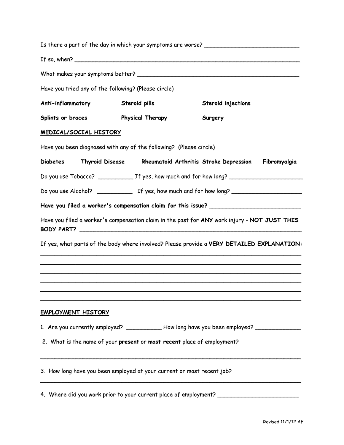|                           |                               |                                                                         | Is there a part of the day in which your symptoms are worse? ___________________                    |              |
|---------------------------|-------------------------------|-------------------------------------------------------------------------|-----------------------------------------------------------------------------------------------------|--------------|
|                           |                               |                                                                         | If so, when? $\overline{\phantom{a}}$                                                               |              |
|                           |                               |                                                                         |                                                                                                     |              |
|                           |                               | Have you tried any of the following? (Please circle)                    |                                                                                                     |              |
| Anti-inflammatory         |                               | Steroid pills                                                           | Steroid injections                                                                                  |              |
| Splints or braces         |                               | <b>Physical Therapy</b>                                                 | Surgery                                                                                             |              |
|                           | <u>MEDICAL/SOCIAL HISTORY</u> |                                                                         |                                                                                                     |              |
|                           |                               | Have you been diagnosed with any of the following? (Please circle)      |                                                                                                     |              |
| Diabetes                  |                               |                                                                         | Thyroid Disease Rheumatoid Arthritis Stroke Depression                                              | Fibromyalgia |
|                           |                               |                                                                         |                                                                                                     |              |
|                           |                               |                                                                         |                                                                                                     |              |
|                           |                               |                                                                         | Have you filed a worker's compensation claim for this issue? ____________________                   |              |
|                           |                               |                                                                         | Have you filed a worker's compensation claim in the past for ANY work injury - NOT JUST THIS        |              |
|                           |                               |                                                                         | If yes, what parts of the body where involved? Please provide a VERY DETAILED EXPLANATION:          |              |
|                           |                               |                                                                         |                                                                                                     |              |
|                           |                               |                                                                         |                                                                                                     |              |
|                           |                               |                                                                         |                                                                                                     |              |
| <b>EMPLOYMENT HISTORY</b> |                               |                                                                         |                                                                                                     |              |
|                           |                               |                                                                         | 1. Are you currently employed? _____________How long have you been employed? ______________________ |              |
|                           |                               | 2. What is the name of your present or most recent place of employment? |                                                                                                     |              |
|                           |                               | 3. How long have you been employed at your current or most recent job?  |                                                                                                     |              |
|                           |                               |                                                                         | 4. Where did you work prior to your current place of employment? _______________                    |              |